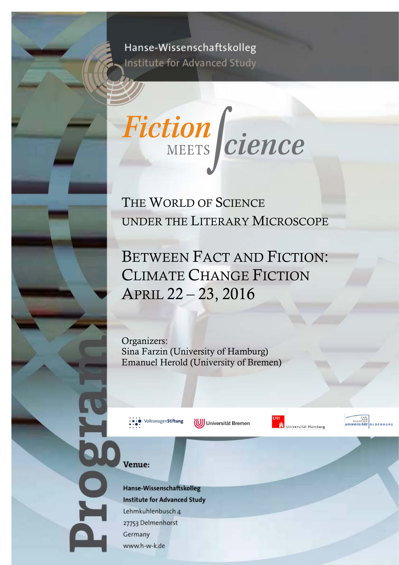## Hanse-Wissenschaftskolleg Institute for Advanced Study



THE WORLD OF SCIENCE UNDER THE LITERARY MICROSCOPE

BETWEEN FACT AND FICTION: CLIMATE CHANGE FICTION APRIL 22 – 23, 2016

Organizers: Sina Farzin (University of Hamburg) Emanuel Herold (University of Bremen)



(UJ) Universität Bremen





Venue:

**AOI** 

Hanse-Wissenschaftskolleg **Institute for Advanced Study** Lehmkuhlenbusch 4 27753 Delmenhorst Germany www.h-w-k.de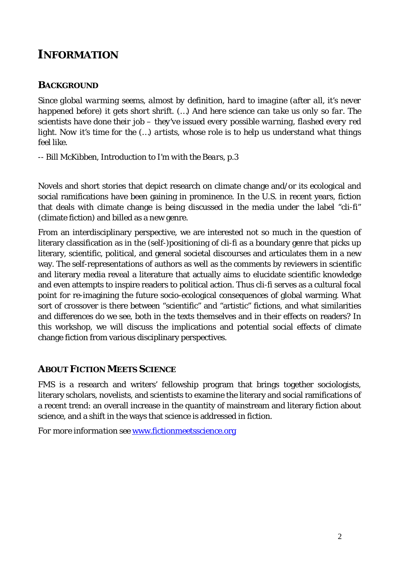### **INFORMATION**

### **BACKGROUND**

*Since global warming seems, almost by definition, hard to imagine (after all, it's never happened before) it gets short shrift. (…) And here science can take us only so far. The scientists have done their job – they've issued every possible warning, flashed every red light. Now it's time for the (...) artists, whose role is to help us understand what things feel like.* 

-- Bill McKibben, Introduction to *I'm with the Bears*, p.3

Novels and short stories that depict research on climate change and/or its ecological and social ramifications have been gaining in prominence. In the U.S. in recent years, fiction that deals with climate change is being discussed in the media under the label ["cli-fi"](http://www.npr.org/2013/04/20/176713022/so-hot-right-now-has-climate-change-created-a-new-literary-genre) (climate fiction) and billed as a new genre.

From an interdisciplinary perspective, we are interested not so much in the question of literary classification as in the (self-)positioning of cli-fi as a boundary genre that picks up literary, scientific, political, and general societal discourses and articulates them in a new way. The self-representations of authors as well as the comments by reviewers in scientific and literary media reveal a literature that actually aims to elucidate scientific knowledge and even attempts to inspire readers to political action. Thus cli-fi serves as a cultural focal point for re-imagining the future socio-ecological consequences of global warming. What sort of crossover is there between "scientific" and "artistic" fictions, and what similarities and differences do we see, both in the texts themselves and in their effects on readers? In this workshop, we will discuss the implications and potential social effects of climate change fiction from various disciplinary perspectives.

### **ABOUT FICTION MEETS SCIENCE**

FMS is a research and writers' fellowship program that brings together sociologists, literary scholars, novelists, and scientists to examine the literary and social ramifications of a recent trend: an overall increase in the quantity of mainstream and literary fiction about science, and a shift in the ways that science is addressed in fiction.

*For more information see* [www.fictionmeetsscience.org](http://www.fictionmeetsscience.org/)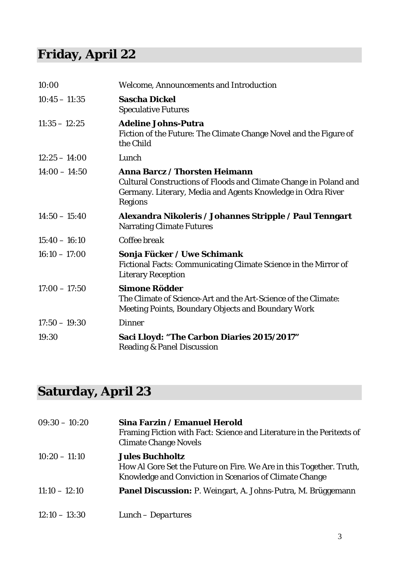# **Friday, April 22**

| 10:00           | <b>Welcome, Announcements and Introduction</b>                                                                                                                                                    |
|-----------------|---------------------------------------------------------------------------------------------------------------------------------------------------------------------------------------------------|
| $10:45 - 11:35$ | <b>Sascha Dickel</b><br><b>Speculative Futures</b>                                                                                                                                                |
| $11:35 - 12:25$ | <b>Adeline Johns-Putra</b><br>Fiction of the Future: The Climate Change Novel and the Figure of<br>the Child                                                                                      |
| $12:25 - 14:00$ | Lunch                                                                                                                                                                                             |
| $14:00 - 14:50$ | <b>Anna Barcz / Thorsten Heimann</b><br><b>Cultural Constructions of Floods and Climate Change in Poland and</b><br>Germany. Literary, Media and Agents Knowledge in Odra River<br><b>Regions</b> |
| $14:50 - 15:40$ | Alexandra Nikoleris / Johannes Stripple / Paul Tenngart<br><b>Narrating Climate Futures</b>                                                                                                       |
| $15:40 - 16:10$ | Coffee break                                                                                                                                                                                      |
| $16:10 - 17:00$ | Sonja Fücker / Uwe Schimank<br>Fictional Facts: Communicating Climate Science in the Mirror of<br><b>Literary Reception</b>                                                                       |
| $17:00 - 17:50$ | <b>Simone Rödder</b><br>The Climate of Science-Art and the Art-Science of the Climate:<br><b>Meeting Points, Boundary Objects and Boundary Work</b>                                               |
| $17:50 - 19:30$ | <b>Dinner</b>                                                                                                                                                                                     |
| 19:30           | Saci Lloyd: "The Carbon Diaries 2015/2017"<br><b>Reading &amp; Panel Discussion</b>                                                                                                               |

# **Saturday, April 23**

| $09:30 - 10:20$ | Sina Farzin / Emanuel Herold<br>Framing Fiction with Fact: Science and Literature in the Peritexts of<br><b>Climate Change Novels</b>                    |
|-----------------|----------------------------------------------------------------------------------------------------------------------------------------------------------|
| $10:20 - 11:10$ | <b>Jules Buchholtz</b><br>How Al Gore Set the Future on Fire. We Are in this Together. Truth,<br>Knowledge and Conviction in Scenarios of Climate Change |
| $11:10 - 12:10$ | <b>Panel Discussion:</b> P. Weingart, A. Johns-Putra, M. Brüggemann                                                                                      |
| $12:10 - 13:30$ | Lunch – Departures                                                                                                                                       |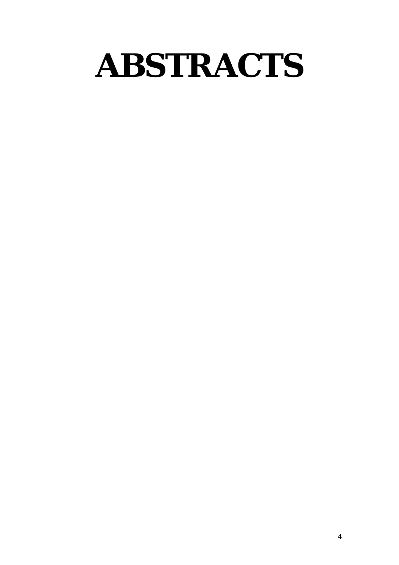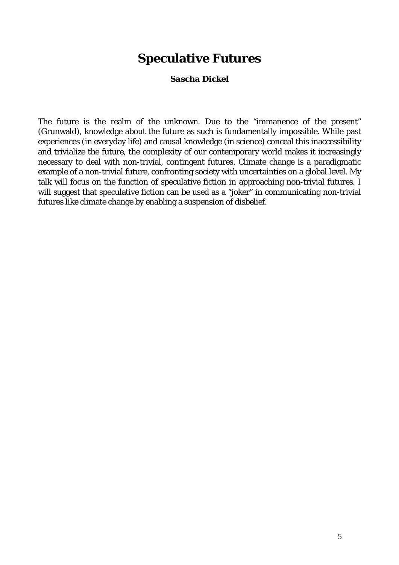### **Speculative Futures**

#### *Sascha Dickel*

The future is the realm of the unknown. Due to the "immanence of the present" (Grunwald), knowledge about the future as such is fundamentally impossible. While past experiences (in everyday life) and causal knowledge (in science) conceal this inaccessibility and trivialize the future, the complexity of our contemporary world makes it increasingly necessary to deal with non-trivial, contingent futures. Climate change is a paradigmatic example of a non-trivial future, confronting society with uncertainties on a global level. My talk will focus on the function of speculative fiction in approaching non-trivial futures. I will suggest that speculative fiction can be used as a "joker" in communicating non-trivial futures like climate change by enabling a suspension of disbelief.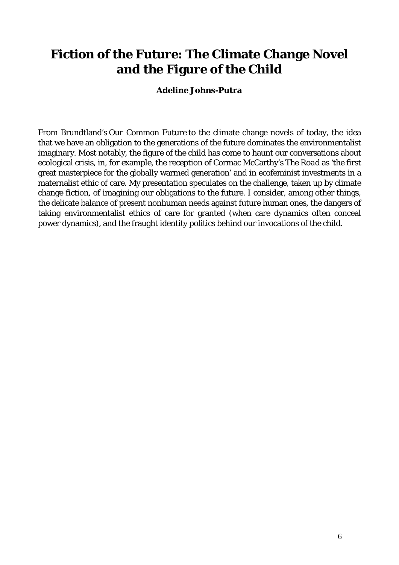## **Fiction of the Future: The Climate Change Novel and the Figure of the Child**

#### *Adeline Johns-Putra*

From Brundtland's *Our Common Future* to the climate change novels of today, the idea that we have an obligation to the generations of the future dominates the environmentalist imaginary. Most notably, the figure of the child has come to haunt our conversations about ecological crisis, in, for example, the reception of Cormac McCarthy's *The Road* as 'the first great masterpiece for the globally warmed generation' and in ecofeminist investments in a maternalist ethic of care. My presentation speculates on the challenge, taken up by climate change fiction, of imagining our obligations to the future. I consider, among other things, the delicate balance of present nonhuman needs against future human ones, the dangers of taking environmentalist ethics of care for granted (when care dynamics often conceal power dynamics), and the fraught identity politics behind our invocations of the child.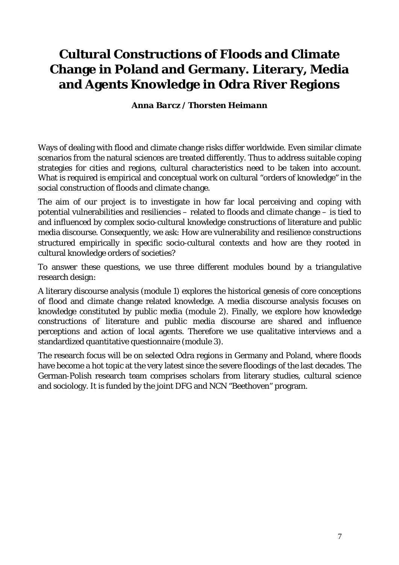# **Cultural Constructions of Floods and Climate Change in Poland and Germany. Literary, Media and Agents Knowledge in Odra River Regions**

#### *Anna Barcz / Thorsten Heimann*

Ways of dealing with flood and climate change risks differ worldwide. Even similar climate scenarios from the natural sciences are treated differently. Thus to address suitable coping strategies for cities and regions, cultural characteristics need to be taken into account. What is required is empirical and conceptual work on cultural "orders of knowledge" in the social construction of floods and climate change.

The aim of our project is to investigate in how far local perceiving and coping with potential vulnerabilities and resiliencies – related to floods and climate change – is tied to and influenced by complex socio‐cultural knowledge constructions of literature and public media discourse. Consequently, we ask: How are vulnerability and resilience constructions structured empirically in specific socio‐cultural contexts and how are they rooted in cultural knowledge orders of societies?

To answer these questions, we use three different modules bound by a triangulative research design:

A literary discourse analysis (module 1) explores the historical genesis of core conceptions of flood and climate change related knowledge. A media discourse analysis focuses on knowledge constituted by public media (module 2). Finally, we explore how knowledge constructions of literature and public media discourse are shared and influence perceptions and action of local agents. Therefore we use qualitative interviews and a standardized quantitative questionnaire (module 3).

The research focus will be on selected Odra regions in Germany and Poland, where floods have become a hot topic at the very latest since the severe floodings of the last decades. The German‐Polish research team comprises scholars from literary studies, cultural science and sociology. It is funded by the joint DFG and NCN "Beethoven" program.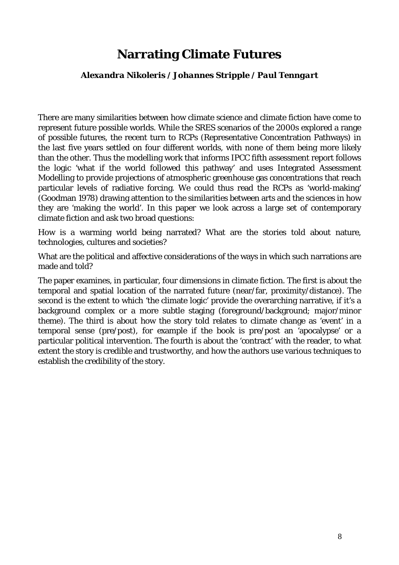### **Narrating Climate Futures**

#### *Alexandra Nikoleris / Johannes Stripple / Paul Tenngart*

There are many similarities between how climate science and climate fiction have come to represent future possible worlds. While the SRES scenarios of the 2000s explored a range of possible futures, the recent turn to RCPs (Representative Concentration Pathways) in the last five years settled on four different worlds, with none of them being more likely than the other. Thus the modelling work that informs IPCC fifth assessment report follows the logic 'what if the world followed this pathway' and uses Integrated Assessment Modelling to provide projections of atmospheric greenhouse gas concentrations that reach particular levels of radiative forcing. We could thus read the RCPs as 'world-making' (Goodman 1978) drawing attention to the similarities between arts and the sciences in how they are 'making the world'. In this paper we look across a large set of contemporary climate fiction and ask two broad questions:

How is a warming world being narrated? What are the stories told about nature, technologies, cultures and societies?

What are the political and affective considerations of the ways in which such narrations are made and told?

The paper examines, in particular, four dimensions in climate fiction. The first is about the temporal and spatial location of the narrated future (near/far, proximity/distance). The second is the extent to which 'the climate logic' provide the overarching narrative, if it's a background complex or a more subtle staging (foreground/background; major/minor theme). The third is about how the story told relates to climate change as 'event' in a temporal sense (pre/post), for example if the book is pre/post an 'apocalypse' or a particular political intervention. The fourth is about the 'contract' with the reader, to what extent the story is credible and trustworthy, and how the authors use various techniques to establish the credibility of the story.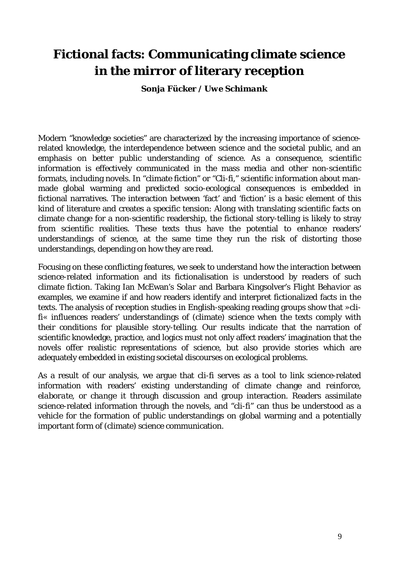## **Fictional facts: Communicating climate science in the mirror of literary reception**

*Sonja Fücker / Uwe Schimank*

Modern "knowledge societies" are characterized by the increasing importance of sciencerelated knowledge, the interdependence between science and the societal public, and an emphasis on better public understanding of science. As a consequence, scientific information is effectively communicated in the mass media and other non-scientific formats, including novels. In "climate fiction" or "Cli-fi," scientific information about manmade global warming and predicted socio-ecological consequences is embedded in fictional narratives. The interaction between 'fact' and 'fiction' is a basic element of this kind of literature and creates a specific tension: Along with translating scientific facts on climate change for a non-scientific readership, the fictional story-telling is likely to stray from scientific realities. These texts thus have the potential to enhance readers' understandings of science, at the same time they run the risk of distorting those understandings, depending on how they are read.

Focusing on these conflicting features, we seek to understand how the interaction between science-related information and its fictionalisation is understood by readers of such climate fiction. Taking Ian McEwan's *Solar* and Barbara Kingsolver's *Flight Behavior* as examples, we examine if and how readers identify and interpret fictionalized facts in the texts. The analysis of reception studies in English-speaking reading groups show that »clifi« influences readers' understandings of (climate) science when the texts comply with their conditions for plausible story-telling. Our results indicate that the narration of scientific knowledge, practice, and logics must not only affect readers' imagination that the novels offer realistic representations of science, but also provide stories which are adequately embedded in existing societal discourses on ecological problems.

As a result of our analysis, we argue that cli-fi serves as a tool to *link* science-related information with readers' existing understanding of climate change and *reinforce, elaborate*, or *change* it through discussion and group interaction. Readers assimilate science-related information through the novels, and "cli-fi" can thus be understood as a vehicle for the formation of public understandings on global warming and a potentially important form of (climate) science communication.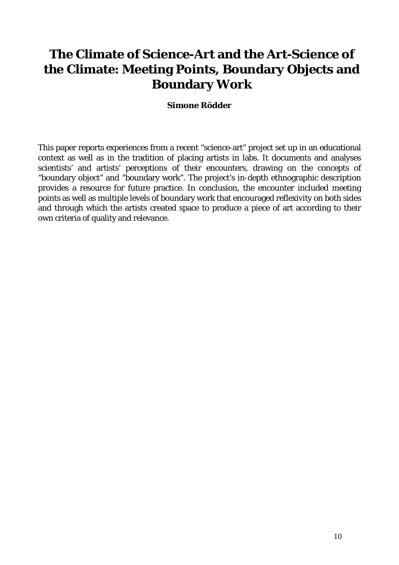## **The Climate of Science-Art and the Art-Science of the Climate: Meeting Points, Boundary Objects and Boundary Work**

#### *Simone Rödder*

This paper reports experiences from a recent "science-art" project set up in an educational context as well as in the tradition of placing artists in labs. It documents and analyses scientists' and artists' perceptions of their encounters, drawing on the concepts of "boundary object" and "boundary work". The project's in-depth ethnographic description provides a resource for future practice. In conclusion, the encounter included meeting points as well as multiple levels of boundary work that encouraged reflexivity on both sides and through which the artists created space to produce a piece of art according to their own criteria of quality and relevance.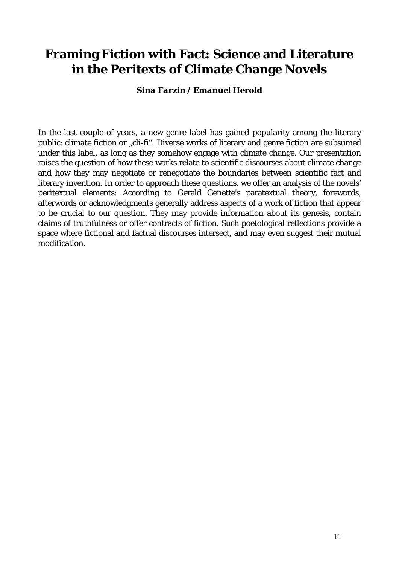### **Framing Fiction with Fact: Science and Literature in the Peritexts of Climate Change Novels**

*Sina Farzin / Emanuel Herold*

In the last couple of years, a new genre label has gained popularity among the literary public: climate fiction or "cli-fi". Diverse works of literary and genre fiction are subsumed under this label, as long as they somehow engage with climate change. Our presentation raises the question of how these works relate to scientific discourses about climate change and how they may negotiate or renegotiate the boundaries between scientific fact and literary invention. In order to approach these questions, we offer an analysis of the novels' peritextual elements: According to Gerald Genette's paratextual theory, forewords, afterwords or acknowledgments generally address aspects of a work of fiction that appear to be crucial to our question. They may provide information about its genesis, contain claims of truthfulness or offer contracts of fiction. Such poetological reflections provide a space where fictional and factual discourses intersect, and may even suggest their mutual modification.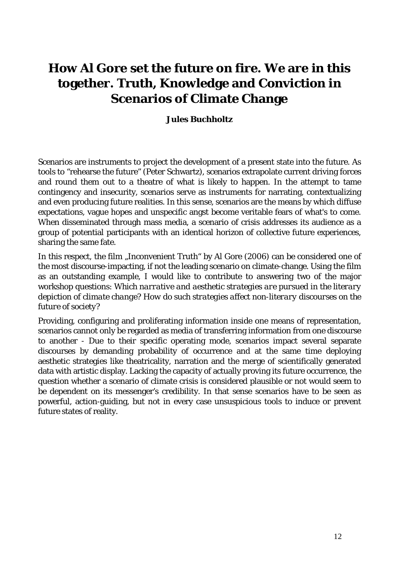# **How Al Gore set the future on fire. We are in this together. Truth, Knowledge and Conviction in Scenarios of Climate Change**

#### *Jules Buchholtz*

Scenarios are instruments to project the development of a present state into the future. As tools to "rehearse the future" (Peter Schwartz), scenarios extrapolate current driving forces and round them out to a theatre of what is likely to happen. In the attempt to tame contingency and insecurity, scenarios serve as instruments for narrating, contextualizing and even producing future realities. In this sense, scenarios are the means by which diffuse expectations, vague hopes and unspecific angst become veritable fears of what's to come. When disseminated through mass media, a scenario of crisis addresses its audience as a group of potential participants with an identical horizon of collective future experiences, sharing the same fate.

In this respect, the film "Inconvenient Truth" by Al Gore (2006) can be considered one of the most discourse-impacting, if not the leading scenario on climate-change. Using the film as an outstanding example, I would like to contribute to answering two of the major workshop questions: *Which narrative and aesthetic strategies are pursued in the literary depiction of climate change? How do such strategies affect non-literary discourses on the future of society?*

Providing, configuring and proliferating information inside one means of representation, scenarios cannot only be regarded as media of transferring information from one discourse to another - Due to their specific operating mode, scenarios impact several separate discourses by demanding probability of occurrence and at the same time deploying aesthetic strategies like theatricality, narration and the merge of scientifically generated data with artistic display. Lacking the capacity of actually proving its future occurrence, the question whether a scenario of climate crisis is considered plausible or not would seem to be dependent on its messenger's credibility. In that sense scenarios have to be seen as powerful, action-guiding, but not in every case unsuspicious tools to induce or prevent future states of reality.